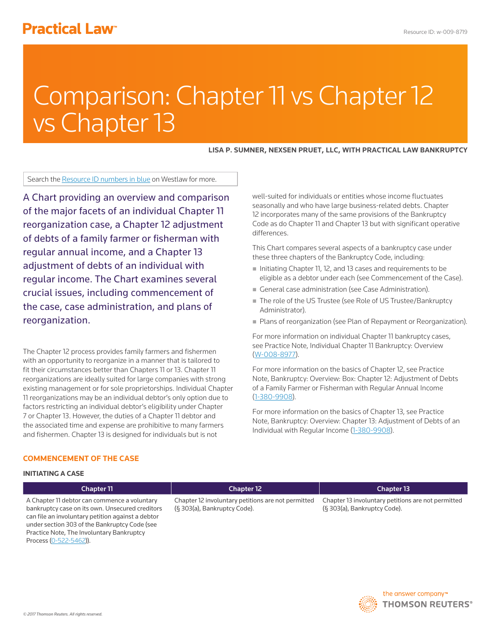# **Practical Law<sup>®</sup>**

# Comparison: Chapter 11 vs Chapter 12 vs Chapter 13

**LISA P. SUMNER, NEXSEN PRUET, LLC, WITH PRACTICAL LAW BANKRUPTCY**

Search the Resource ID numbers in blue on Westlaw for more.

A Chart providing an overview and comparison of the major facets of an individual Chapter 11 reorganization case, a Chapter 12 adjustment of debts of a family farmer or fisherman with regular annual income, and a Chapter 13 adjustment of debts of an individual with regular income. The Chart examines several crucial issues, including commencement of the case, case administration, and plans of reorganization.

The Chapter 12 process provides family farmers and fishermen with an opportunity to reorganize in a manner that is tailored to fit their circumstances better than Chapters 11 or 13. Chapter 11 reorganizations are ideally suited for large companies with strong existing management or for sole proprietorships. Individual Chapter 11 reorganizations may be an individual debtor's only option due to factors restricting an individual debtor's eligibility under Chapter 7 or Chapter 13. However, the duties of a Chapter 11 debtor and the associated time and expense are prohibitive to many farmers and fishermen. Chapter 13 is designed for individuals but is not

well-suited for individuals or entities whose income fluctuates seasonally and who have large business-related debts. Chapter 12 incorporates many of the same provisions of the Bankruptcy Code as do Chapter 11 and Chapter 13 but with significant operative differences.

This Chart compares several aspects of a bankruptcy case under these three chapters of the Bankruptcy Code, including:

- Initiating Chapter 11, 12, and 13 cases and requirements to be eligible as a debtor under each (see Commencement of the Case).
- General case administration (see Case Administration).
- The role of the US Trustee (see Role of US Trustee/Bankruptcy Administrator).
- **Plans of reorganization (see Plan of Repayment or Reorganization).**

For more information on individual Chapter 11 bankruptcy cases, see Practice Note, Individual Chapter 11 Bankruptcy: Overview (W-008-8977).

For more information on the basics of Chapter 12, see Practice Note, Bankruptcy: Overview: Box: Chapter 12: Adjustment of Debts of a Family Farmer or Fisherman with Regular Annual Income (1-380-9908).

For more information on the basics of Chapter 13, see Practice Note, Bankruptcy: Overview: Chapter 13: Adjustment of Debts of an Individual with Regular Income (1-380-9908).

### **COMMENCEMENT OF THE CASE**

### **INITIATING A CASE**

A Chapter 11 debtor can commence a voluntary bankruptcy case on its own. Unsecured creditors can file an involuntary petition against a debtor under section 303 of the Bankruptcy Code (see Practice Note, The Involuntary Bankruptcy Process (0-522-5462)).

### Chapter 11 Chapter 12 Chapter 13

Chapter 12 involuntary petitions are not permitted (§ 303(a), Bankruptcy Code).

Chapter 13 involuntary petitions are not permitted (§ 303(a), Bankruptcy Code).

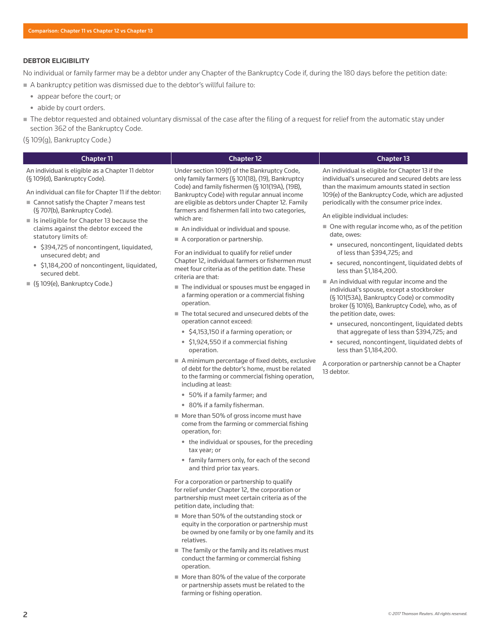### **DEBTOR ELIGIBILITY**

No individual or family farmer may be a debtor under any Chapter of the Bankruptcy Code if, during the 180 days before the petition date:

- A bankruptcy petition was dismissed due to the debtor's willful failure to:
	- appear before the court; or
	- abide by court orders.
- The debtor requested and obtained voluntary dismissal of the case after the filing of a request for relief from the automatic stay under section 362 of the Bankruptcy Code.
- (§ 109(g), Bankruptcy Code.)

 $(S<sub>10</sub>)$ 

| <b>Chapter 11</b>                                                                | <b>Chapter 12</b>                                                                                   | <b>Chapter 13</b>                                                                                    |
|----------------------------------------------------------------------------------|-----------------------------------------------------------------------------------------------------|------------------------------------------------------------------------------------------------------|
| An individual is eligible as a Chapter 11 debtor<br>(§ 109(d), Bankruptcy Code). | Under section 109(f) of the Bankruptcy Code,<br>only family farmers (§ 101(18), (19), Bankruptcy    | An individual is eligible for Chapter 13 if the<br>individual's unsecured and secured debts are less |
| An individual can file for Chapter 11 if the debtor:                             | Code) and family fishermen (§ 101(19A), (19B),<br>Bankruptcy Code) with regular annual income       | than the maximum amounts stated in section<br>109(e) of the Bankruptcy Code, which are adjusted      |
| ■ Cannot satisfy the Chapter 7 means test<br>(§707(b), Bankruptcy Code).         | are eligible as debtors under Chapter 12. Family<br>farmers and fishermen fall into two categories, | periodically with the consumer price index.                                                          |

- Is ineligible for Chapter 13 because the claims against the debtor exceed the statutory limits of:
	- \$394,725 of noncontingent, liquidated, unsecured debt; and
	- \$1,184,200 of noncontingent, liquidated, secured debt.
- (§ 109(e), Bankruptcy Code.)

farmers and fishermen fall into two categories, which are:

- An individual or individual and spouse.
- A corporation or partnership.

For an individual to qualify for relief under Chapter 12, individual farmers or fishermen must meet four criteria as of the petition date. These criteria are that:

- The individual or spouses must be engaged in a farming operation or a commercial fishing operation.
- The total secured and unsecured debts of the operation cannot exceed:
	- \$4,153,150 if a farming operation; or
	- \$1,924,550 if a commercial fishing operation.
- A minimum percentage of fixed debts, exclusive of debt for the debtor's home, must be related to the farming or commercial fishing operation, including at least:
	- 50% if a family farmer; and
	- 80% if a family fisherman.
- More than 50% of gross income must have come from the farming or commercial fishing operation, for:
	- the individual or spouses, for the preceding tax year; or
	- family farmers only, for each of the second and third prior tax years.

For a corporation or partnership to qualify for relief under Chapter 12, the corporation or partnership must meet certain criteria as of the petition date, including that:

- More than 50% of the outstanding stock or equity in the corporation or partnership must be owned by one family or by one family and its relatives.
- $\blacksquare$  The family or the family and its relatives must conduct the farming or commercial fishing operation.
- More than 80% of the value of the corporate or partnership assets must be related to the farming or fishing operation.

An eligible individual includes:

- $\blacksquare$  One with regular income who, as of the petition date, owes:
	- unsecured, noncontingent, liquidated debts of less than \$394,725; and
	- secured, noncontingent, liquidated debts of less than \$1,184,200.
- An individual with regular income and the individual's spouse, except a stockbroker (§ 101(53A), Bankruptcy Code) or commodity broker (§ 101(6), Bankruptcy Code), who, as of the petition date, owes:
	- unsecured, noncontingent, liquidated debts that aggregate of less than \$394,725; and
	- secured, noncontingent, liquidated debts of less than \$1,184,200.

A corporation or partnership cannot be a Chapter 13 debtor.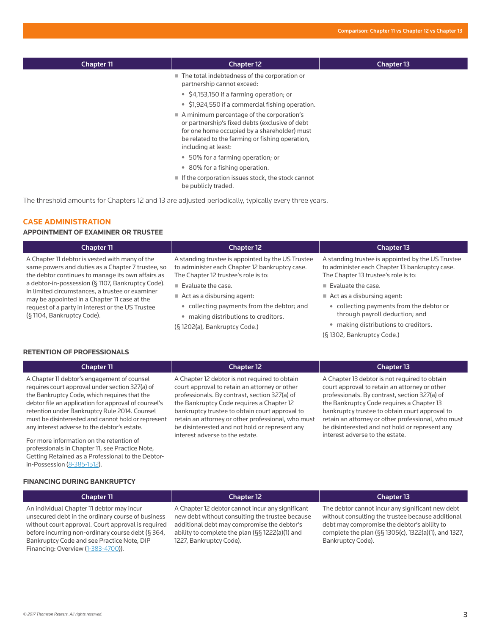| <b>Chapter 11</b> | <b>Chapter 12</b>                                                                                                                                                                                                      | <b>Chapter 13</b> |
|-------------------|------------------------------------------------------------------------------------------------------------------------------------------------------------------------------------------------------------------------|-------------------|
|                   | ■ The total indebtedness of the corporation or<br>partnership cannot exceed:<br>• \$4,153,150 if a farming operation; or                                                                                               |                   |
|                   | • \$1,924,550 if a commercial fishing operation.                                                                                                                                                                       |                   |
|                   | A minimum percentage of the corporation's<br>or partnership's fixed debts (exclusive of debt<br>for one home occupied by a shareholder) must<br>be related to the farming or fishing operation,<br>including at least: |                   |
|                   | • 50% for a farming operation; or                                                                                                                                                                                      |                   |
|                   | 80% for a fishing operation.<br>$\bullet$                                                                                                                                                                              |                   |
|                   | $\blacksquare$ If the corporation issues stock, the stock cannot<br>be publicly traded.                                                                                                                                |                   |

The threshold amounts for Chapters 12 and 13 are adjusted periodically, typically every three years.

### **CASE ADMINISTRATION**

### **APPOINTMENT OF EXAMINER OR TRUSTEE**

| Chapter 11                                                                                                                                                                                                                                                                                                                                                                                         | <b>Chapter 12</b>                                                                                                                           | <b>Chapter 13</b>                                                                                                                           |
|----------------------------------------------------------------------------------------------------------------------------------------------------------------------------------------------------------------------------------------------------------------------------------------------------------------------------------------------------------------------------------------------------|---------------------------------------------------------------------------------------------------------------------------------------------|---------------------------------------------------------------------------------------------------------------------------------------------|
| A Chapter 11 debtor is vested with many of the<br>same powers and duties as a Chapter 7 trustee, so<br>the debtor continues to manage its own affairs as<br>a debtor-in-possession (§ 1107, Bankruptcy Code).<br>In limited circumstances, a trustee or examiner<br>may be appointed in a Chapter 11 case at the<br>request of a party in interest or the US Trustee<br>(§ 1104, Bankruptcy Code). | A standing trustee is appointed by the US Trustee<br>to administer each Chapter 12 bankruptcy case.<br>The Chapter 12 trustee's role is to: | A standing trustee is appointed by the US Trustee<br>to administer each Chapter 13 bankruptcy case.<br>The Chapter 13 trustee's role is to: |
|                                                                                                                                                                                                                                                                                                                                                                                                    | $\blacksquare$ Evaluate the case.                                                                                                           | $\blacksquare$ Evaluate the case.                                                                                                           |
|                                                                                                                                                                                                                                                                                                                                                                                                    | $\blacksquare$ Act as a disbursing agent:                                                                                                   | $\blacksquare$ Act as a disbursing agent:                                                                                                   |
|                                                                                                                                                                                                                                                                                                                                                                                                    | • collecting payments from the debtor; and                                                                                                  | • collecting payments from the debtor or                                                                                                    |
|                                                                                                                                                                                                                                                                                                                                                                                                    | . making distributions to creditors.                                                                                                        | through payroll deduction; and                                                                                                              |
|                                                                                                                                                                                                                                                                                                                                                                                                    | (§ 1202(a), Bankruptcy Code.)                                                                                                               | • making distributions to creditors.                                                                                                        |
|                                                                                                                                                                                                                                                                                                                                                                                                    |                                                                                                                                             | (§ 1302, Bankruptcy Code.)                                                                                                                  |

### **RETENTION OF PROFESSIONALS**

A Chapter 11 debtor's engagement of counsel requires court approval under section 327(a) of the Bankruptcy Code, which requires that the debtor file an application for approval of counsel's retention under Bankruptcy Rule 2014. Counsel must be disinterested and cannot hold or represent any interest adverse to the debtor's estate.

For more information on the retention of professionals in Chapter 11, see Practice Note, Getting Retained as a Professional to the Debtorin-Possession (8-385-1512).

### Chapter 11 Chapter 12 Chapter 13

A Chapter 12 debtor is not required to obtain court approval to retain an attorney or other professionals. By contrast, section 327(a) of the Bankruptcy Code requires a Chapter 12 bankruptcy trustee to obtain court approval to retain an attorney or other professional, who must be disinterested and not hold or represent any interest adverse to the estate.

A Chapter 13 debtor is not required to obtain

court approval to retain an attorney or other professionals. By contrast, section 327(a) of the Bankruptcy Code requires a Chapter 13 bankruptcy trustee to obtain court approval to retain an attorney or other professional, who must be disinterested and not hold or represent any interest adverse to the estate.

### **FINANCING DURING BANKRUPTCY**

| <b>Chapter 11</b> | <b>Chapter 12</b> | <b>Chapter 13</b> |
|-------------------|-------------------|-------------------|
|                   |                   |                   |

An individual Chapter 11 debtor may incur unsecured debt in the ordinary course of business without court approval. Court approval is required before incurring non-ordinary course debt (§ 364, Bankruptcy Code and see Practice Note, DIP Financing: Overview (1-383-4700)).

A Chapter 12 debtor cannot incur any significant new debt without consulting the trustee because additional debt may compromise the debtor's ability to complete the plan (§§ 1222(a)(1) and 1227, Bankruptcy Code).

The debtor cannot incur any significant new debt without consulting the trustee because additional debt may compromise the debtor's ability to complete the plan (§§ 1305(c), 1322(a)(1), and 1327, Bankruptcy Code).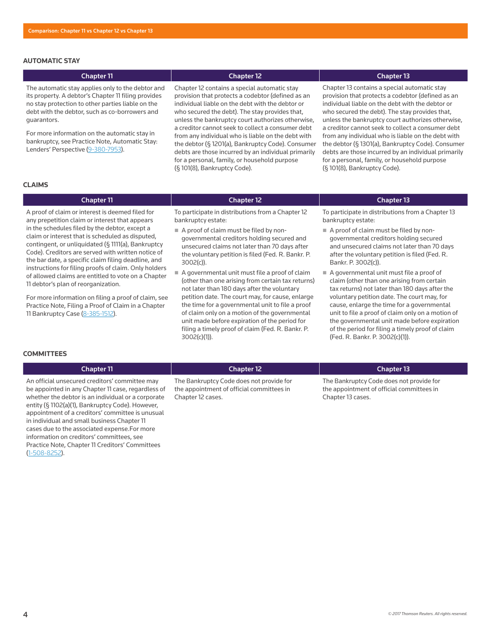### **AUTOMATIC STAY**

### Chapter 11 Chapter 12 Chapter 13

The automatic stay applies only to the debtor and its property. A debtor's Chapter 11 filing provides no stay protection to other parties liable on the debt with the debtor, such as co-borrowers and guarantors.

For more information on the automatic stay in bankruptcy, see Practice Note, Automatic Stay: Lenders' Perspective (9-380-7953).

Chapter 12 contains a special automatic stay provision that protects a codebtor (defined as an individual liable on the debt with the debtor or who secured the debt). The stay provides that, unless the bankruptcy court authorizes otherwise, a creditor cannot seek to collect a consumer debt from any individual who is liable on the debt with the debtor (§ 1201(a), Bankruptcy Code). Consumer debts are those incurred by an individual primarily for a personal, family, or household purpose (§ 101(8), Bankruptcy Code).

Chapter 13 contains a special automatic stay provision that protects a codebtor (defined as an individual liable on the debt with the debtor or who secured the debt). The stay provides that, unless the bankruptcy court authorizes otherwise, a creditor cannot seek to collect a consumer debt from any individual who is liable on the debt with the debtor (§ 1301(a), Bankruptcy Code). Consumer debts are those incurred by an individual primarily for a personal, family, or household purpose (§ 101(8), Bankruptcy Code).

### **CLAIMS**

# Chapter 11 Chapter 12 Chapter 13

A proof of claim or interest is deemed filed for any prepetition claim or interest that appears in the schedules filed by the debtor, except a claim or interest that is scheduled as disputed, contingent, or unliquidated (§ 1111(a), Bankruptcy Code). Creditors are served with written notice of the bar date, a specific claim filing deadline, and instructions for filing proofs of claim. Only holders of allowed claims are entitled to vote on a Chapter 11 debtor's plan of reorganization.

For more information on filing a proof of claim, see Practice Note, Filing a Proof of Claim in a Chapter 11 Bankruptcy Case (8-385-1512).

To participate in distributions from a Chapter 12 bankruptcy estate:

- A proof of claim must be filed by nongovernmental creditors holding secured and unsecured claims not later than 70 days after the voluntary petition is filed (Fed. R. Bankr. P. 3002(c)).
- A governmental unit must file a proof of claim (other than one arising from certain tax returns) not later than 180 days after the voluntary petition date. The court may, for cause, enlarge the time for a governmental unit to file a proof of claim only on a motion of the governmental unit made before expiration of the period for filing a timely proof of claim (Fed. R. Bankr. P. 3002(c)(1)).

To participate in distributions from a Chapter 13 bankruptcy estate:

- A proof of claim must be filed by nongovernmental creditors holding secured and unsecured claims not later than 70 days after the voluntary petition is filed (Fed. R. Bankr. P. 3002(c)).
- A governmental unit must file a proof of claim (other than one arising from certain tax returns) not later than 180 days after the voluntary petition date. The court may, for cause, enlarge the time for a governmental unit to file a proof of claim only on a motion of the governmental unit made before expiration of the period for filing a timely proof of claim (Fed. R. Bankr. P. 3002(c)(1)).

### **COMMITTEES**

### Chapter 11 Chapter 12 Chapter 13

An official unsecured creditors' committee may be appointed in any Chapter 11 case, regardless of whether the debtor is an individual or a corporate entity (§ 1102(a)(1), Bankruptcy Code). However, appointment of a creditors' committee is unusual in individual and small business Chapter 11 cases due to the associated expense.For more information on creditors' committees, see Practice Note, Chapter 11 Creditors' Committees (1-508-8252).

The Bankruptcy Code does not provide for the appointment of official committees in Chapter 12 cases.

The Bankruptcy Code does not provide for the appointment of official committees in Chapter 13 cases.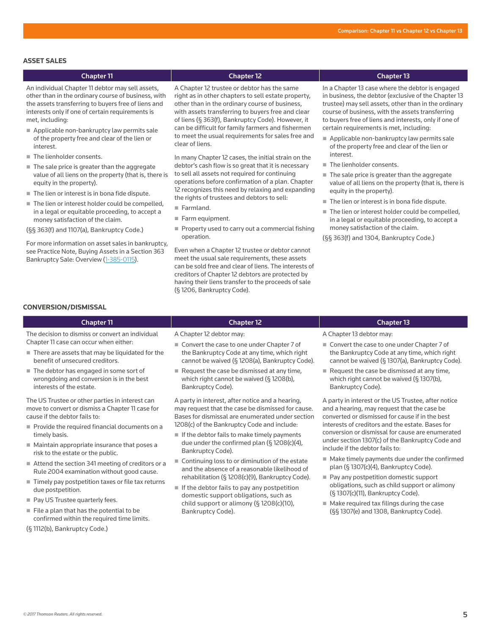### **ASSET SALES**

### Chapter 11 Chapter 12 Chapter 13 An individual Chapter 11 debtor may sell assets, other than in the ordinary course of business, with the assets transferring to buyers free of liens and interests only if one of certain requirements is met, including: Applicable non-bankruptcy law permits sale of the property free and clear of the lien or interest. The lienholder consents.  $\blacksquare$  The sale price is greater than the aggregate value of all liens on the property (that is, there is equity in the property). ■ The lien or interest is in bona fide dispute. ■ The lien or interest holder could be compelled, in a legal or equitable proceeding, to accept a money satisfaction of the claim. A Chapter 12 trustee or debtor has the same right as in other chapters to sell estate property, other than in the ordinary course of business, with assets transferring to buyers free and clear of liens (§ 363(f), Bankruptcy Code). However, it can be difficult for family farmers and fishermen to meet the usual requirements for sales free and clear of liens. In many Chapter 12 cases, the initial strain on the debtor's cash flow is so great that it is necessary to sell all assets not required for continuing operations before confirmation of a plan. Chapter 12 recognizes this need by relaxing and expanding the rights of trustees and debtors to sell: Farmland  $F$ arm equipment. In a Chapter 13 case where the debtor is engaged in business, the debtor (exclusive of the Chapter 13 trustee) may sell assets, other than in the ordinary course of business, with the assets transferring to buyers free of liens and interests, only if one of certain requirements is met, including: Applicable non-bankruptcy law permits sale of the property free and clear of the lien or interest. ■ The lienholder consents. ■ The sale price is greater than the aggregate value of all liens on the property (that is, there is equity in the property). ■ The lien or interest is in bona fide dispute. ■ The lien or interest holder could be compelled, in a legal or equitable proceeding, to accept a

(§§ 363(f) and 1107(a), Bankruptcy Code.)

For more information on asset sales in bankruptcy, see Practice Note, Buying Assets in a Section 363 Bankruptcy Sale: Overview (1-385-0115).

Property used to carry out a commercial fishing operation.

Even when a Chapter 12 trustee or debtor cannot meet the usual sale requirements, these assets can be sold free and clear of liens. The interests of creditors of Chapter 12 debtors are protected by having their liens transfer to the proceeds of sale (§ 1206, Bankruptcy Code).

money satisfaction of the claim.

(§§ 363(f) and 1304, Bankruptcy Code.)

### **CONVERSION/DISMISSAL**

# Chapter 11 Chapter 12 Chapter 13

The decision to dismiss or convert an individual Chapter 11 case can occur when either:

- $\blacksquare$  There are assets that may be liquidated for the benefit of unsecured creditors.
- The debtor has engaged in some sort of wrongdoing and conversion is in the best interests of the estate.

The US Trustee or other parties in interest can move to convert or dismiss a Chapter 11 case for cause if the debtor fails to:

- $\blacksquare$  Provide the required financial documents on a timely basis.
- $\blacksquare$  Maintain appropriate insurance that poses a risk to the estate or the public.
- Attend the section 341 meeting of creditors or a Rule 2004 examination without good cause.
- Timely pay postpetition taxes or file tax returns due postpetition.
- Pay US Trustee quarterly fees.
- $\blacksquare$  File a plan that has the potential to be confirmed within the required time limits.

(§ 1112(b), Bankruptcy Code.)

A Chapter 12 debtor may:

- Convert the case to one under Chapter 7 of the Bankruptcy Code at any time, which right cannot be waived (§ 1208(a), Bankruptcy Code).
- Request the case be dismissed at any time, which right cannot be waived (§ 1208(b), Bankruptcy Code).

A party in interest, after notice and a hearing, may request that the case be dismissed for cause. Bases for dismissal are enumerated under section 1208(c) of the Bankruptcy Code and include:

- $\blacksquare$  If the debtor fails to make timely payments due under the confirmed plan (§ 1208(c)(4), Bankruptcy Code).
- Continuing loss to or diminution of the estate and the absence of a reasonable likelihood of rehabilitation (§ 1208(c)(9), Bankruptcy Code).
- If the debtor fails to pay any postpetition domestic support obligations, such as child support or alimony (§ 1208(c)(10), Bankruptcy Code).

A Chapter 13 debtor may:

- Convert the case to one under Chapter 7 of the Bankruptcy Code at any time, which right cannot be waived (§ 1307(a), Bankruptcy Code).
- Request the case be dismissed at any time, which right cannot be waived (§ 1307(b), Bankruptcy Code).

A party in interest or the US Trustee, after notice and a hearing, may request that the case be converted or dismissed for cause if in the best interests of creditors and the estate. Bases for conversion or dismissal for cause are enumerated under section 1307(c) of the Bankruptcy Code and include if the debtor fails to:

- Make timely payments due under the confirmed plan (§ 1307(c)(4), Bankruptcy Code).
- Pay any postpetition domestic support obligations, such as child support or alimony (§ 1307(c)(11), Bankruptcy Code).
- Make required tax filings during the case (§§ 1307(e) and 1308, Bankruptcy Code).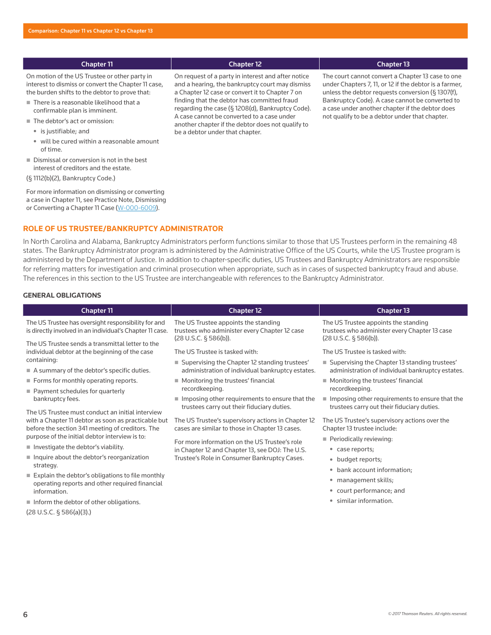### Chapter 11 Chapter 12 Chapter 12 Chapter 13 Chapter 13 Chapter 13

On motion of the US Trustee or other party in interest to dismiss or convert the Chapter 11 case, the burden shifts to the debtor to prove that:

- There is a reasonable likelihood that a confirmable plan is imminent.
- The debtor's act or omission:
	- is justifiable; and
	- will be cured within a reasonable amount of time.
- Dismissal or conversion is not in the best interest of creditors and the estate.
- (§ 1112(b)(2), Bankruptcy Code.)

For more information on dismissing or converting a case in Chapter 11, see Practice Note, Dismissing or Converting a Chapter 11 Case (W-000-6009).

### **ROLE OF US TRUSTEE/BANKRUPTCY ADMINISTRATOR**

In North Carolina and Alabama, Bankruptcy Administrators perform functions similar to those that US Trustees perform in the remaining 48 states. The Bankruptcy Administrator program is administered by the Administrative Office of the US Courts, while the US Trustee program is administered by the Department of Justice. In addition to chapter-specific duties, US Trustees and Bankruptcy Administrators are responsible for referring matters for investigation and criminal prosecution when appropriate, such as in cases of suspected bankruptcy fraud and abuse. The references in this section to the US Trustee are interchangeable with references to the Bankruptcy Administrator.

### **GENERAL OBLIGATIONS**

(28 U.S.C. § 586(a)(3).)

| <b>Chapter 11</b>                                                                                                                                           | <b>Chapter 12</b>                                                                                              | <b>Chapter 13</b>                                                                                              |
|-------------------------------------------------------------------------------------------------------------------------------------------------------------|----------------------------------------------------------------------------------------------------------------|----------------------------------------------------------------------------------------------------------------|
| The US Trustee has oversight responsibility for and<br>is directly involved in an individual's Chapter 11 case.                                             | The US Trustee appoints the standing<br>trustees who administer every Chapter 12 case<br>(28 U.S.C. § 586(b)). | The US Trustee appoints the standing<br>trustees who administer every Chapter 13 case<br>(28 U.S.C. § 586(b)). |
| The US Trustee sends a transmittal letter to the<br>individual debtor at the beginning of the case                                                          | The US Trustee is tasked with:                                                                                 | The US Trustee is tasked with:                                                                                 |
| containing:<br>A summary of the debtor's specific duties.                                                                                                   | ■ Supervising the Chapter 12 standing trustees'<br>administration of individual bankruptcy estates.            | ■ Supervising the Chapter 13 standing trustees'<br>administration of individual bankruptcy estates.            |
| Forms for monthly operating reports.<br>Payment schedules for quarterly                                                                                     | ■ Monitoring the trustees' financial<br>recordkeeping.                                                         | Monitoring the trustees' financial<br>recordkeeping.                                                           |
| bankruptcy fees.                                                                                                                                            | Imposing other requirements to ensure that the<br>trustees carry out their fiduciary duties.                   | Imposing other requirements to ensure that the<br>trustees carry out their fiduciary duties.                   |
| The US Trustee must conduct an initial interview<br>with a Chapter 11 debtor as soon as practicable but<br>before the section 341 meeting of creditors. The | The US Trustee's supervisory actions in Chapter 12<br>cases are similar to those in Chapter 13 cases.          | The US Trustee's supervisory actions over the<br>Chapter 13 trustee include:                                   |
| purpose of the initial debtor interview is to:<br>Investigate the debtor's viability.                                                                       | For more information on the US Trustee's role                                                                  | Periodically reviewing:                                                                                        |
| Inquire about the debtor's reorganization<br>strategy.                                                                                                      | in Chapter 12 and Chapter 13, see DOJ: The U.S.<br>Trustee's Role in Consumer Bankruptcy Cases.                | • case reports;<br>• budget reports;                                                                           |
| $\blacksquare$ Explain the debtor's obligations to file monthly<br>operating reports and other required financial                                           |                                                                                                                | • bank account information;<br>• management skills;<br>• court performance; and                                |
| information.<br>Inform the debtor of other obligations.                                                                                                     |                                                                                                                | • similar information.                                                                                         |

On request of a party in interest and after notice and a hearing, the bankruptcy court may dismiss a Chapter 12 case or convert it to Chapter 7 on finding that the debtor has committed fraud regarding the case (§ 1208(d), Bankruptcy Code). A case cannot be converted to a case under another chapter if the debtor does not qualify to be a debtor under that chapter.

The court cannot convert a Chapter 13 case to one under Chapters 7, 11, or 12 if the debtor is a farmer, unless the debtor requests conversion (§ 1307(f), Bankruptcy Code). A case cannot be converted to a case under another chapter if the debtor does not qualify to be a debtor under that chapter.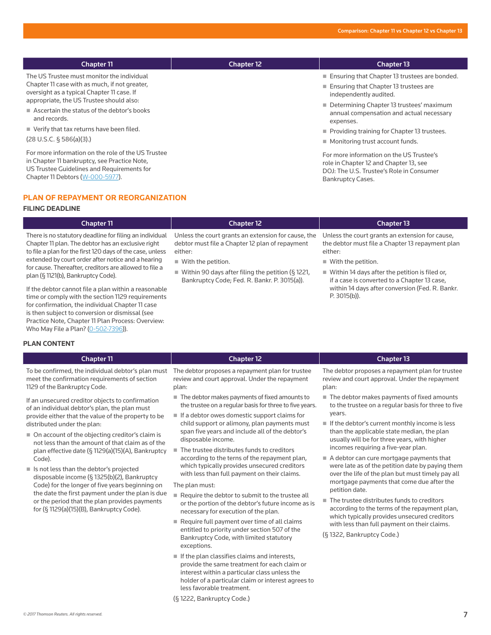**Monitoring trust account funds.** 

Bankruptcy Cases.

For more information on the US Trustee's role in Chapter 12 and Chapter 13, see DOJ: The U.S. Trustee's Role in Consumer

| <b>Chapter 11</b>                                                                                                                         | <b>Chapter 12</b> | <b>Chapter 13</b>                                                                                                    |
|-------------------------------------------------------------------------------------------------------------------------------------------|-------------------|----------------------------------------------------------------------------------------------------------------------|
| The US Trustee must monitor the individual<br>Chapter 11 case with as much, if not greater,<br>oversight as a typical Chapter 11 case. If |                   | ■ Ensuring that Chapter 13 trustees are bonded.<br>■ Ensuring that Chapter 13 trustees are<br>independently audited. |
| appropriate, the US Trustee should also:<br>Ascertain the status of the debtor's books<br>and records.                                    |                   | ■ Determining Chapter 13 trustees' maximum<br>annual compensation and actual necessary<br>expenses.                  |
| $\blacksquare$ Verify that tax returns have been filed.                                                                                   |                   | ■ Providing training for Chapter 13 trustees.                                                                        |

Verify that tax returns have been filed.

(28 U.S.C. § 586(a)(3).)

For more information on the role of the US Trustee in Chapter 11 bankruptcy, see Practice Note, US Trustee Guidelines and Requirements for Chapter 11 Debtors (W-000-5977).

### **PLAN OF REPAYMENT OR REORGANIZATION**

### **FILING DEADLINE**

| <b>Chapter 11</b>                                                                                                                                                                                                                                                                                                                | <b>Chapter 12</b>                                                                                                                                      | <b>Chapter 13</b>                                                                                                                                   |
|----------------------------------------------------------------------------------------------------------------------------------------------------------------------------------------------------------------------------------------------------------------------------------------------------------------------------------|--------------------------------------------------------------------------------------------------------------------------------------------------------|-----------------------------------------------------------------------------------------------------------------------------------------------------|
| There is no statutory deadline for filing an individual<br>Chapter 11 plan. The debtor has an exclusive right<br>to file a plan for the first 120 days of the case, unless<br>extended by court order after notice and a hearing<br>for cause. Thereafter, creditors are allowed to file a<br>plan (§ 1121(b), Bankruptcy Code). | Unless the court grants an extension for cause, the<br>debtor must file a Chapter 12 plan of repayment<br>either:<br>$\blacksquare$ With the petition. | Unless the court grants an extension for cause,<br>the debtor must file a Chapter 13 repayment plan<br>either:<br>$\blacksquare$ With the petition. |
|                                                                                                                                                                                                                                                                                                                                  | ■ Within 90 days after filing the petition (§1221,<br>Bankruptcy Code; Fed. R. Bankr. P. 3015(a)).                                                     | $\blacksquare$ Within 14 days after the petition is filed or,<br>if a case is converted to a Chapter 13 case,                                       |
| If the debtor cannot file a plan within a reasonable<br>time or comply with the section 1129 requirements<br>for confirmation, the individual Chapter 11 case<br>is then subject to conversion or dismissal (see                                                                                                                 |                                                                                                                                                        | within 14 days after conversion (Fed. R. Bankr.<br>$P. 3015(b)$ ).                                                                                  |

### **PLAN CONTENT**

Chapter 11 Chapter 12 Chapter 13

Who May File a Plan? (0-502-7396)).

To be confirmed, the individual debtor's plan must meet the confirmation requirements of section 1129 of the Bankruptcy Code.

Practice Note, Chapter 11 Plan Process: Overview:

If an unsecured creditor objects to confirmation of an individual debtor's plan, the plan must provide either that the value of the property to be distributed under the plan:

- On account of the objecting creditor's claim is not less than the amount of that claim as of the plan effective date (§ 1129(a)(15)(A), Bankruptcy Code).
- Is not less than the debtor's projected disposable income (§ 1325(b)(2), Bankruptcy Code) for the longer of five years beginning on the date the first payment under the plan is due or the period that the plan provides payments for (§ 1129(a)(15)(B), Bankruptcy Code).

The debtor proposes a repayment plan for trustee review and court approval. Under the repayment plan:

- The debtor makes payments of fixed amounts to the trustee on a regular basis for three to five years.
- $\blacksquare$  If a debtor owes domestic support claims for child support or alimony, plan payments must span five years and include all of the debtor's disposable income.
- The trustee distributes funds to creditors according to the terns of the repayment plan, which typically provides unsecured creditors with less than full payment on their claims.

The plan must:

- Require the debtor to submit to the trustee all or the portion of the debtor's future income as is necessary for execution of the plan.
- Require full payment over time of all claims entitled to priority under section 507 of the Bankruptcy Code, with limited statutory exceptions.
- $\blacksquare$  If the plan classifies claims and interests, provide the same treatment for each claim or interest within a particular class unless the holder of a particular claim or interest agrees to less favorable treatment.

(§ 1222, Bankruptcy Code.)

The debtor proposes a repayment plan for trustee review and court approval. Under the repayment plan:

- The debtor makes payments of fixed amounts to the trustee on a regular basis for three to five years.
- $\blacksquare$  If the debtor's current monthly income is less than the applicable state median, the plan usually will be for three years, with higher incomes requiring a five-year plan.
- A debtor can cure mortgage payments that were late as of the petition date by paying them over the life of the plan but must timely pay all mortgage payments that come due after the petition date.
- The trustee distributes funds to creditors according to the terms of the repayment plan, which typically provides unsecured creditors with less than full payment on their claims.

(§ 1322, Bankruptcy Code.)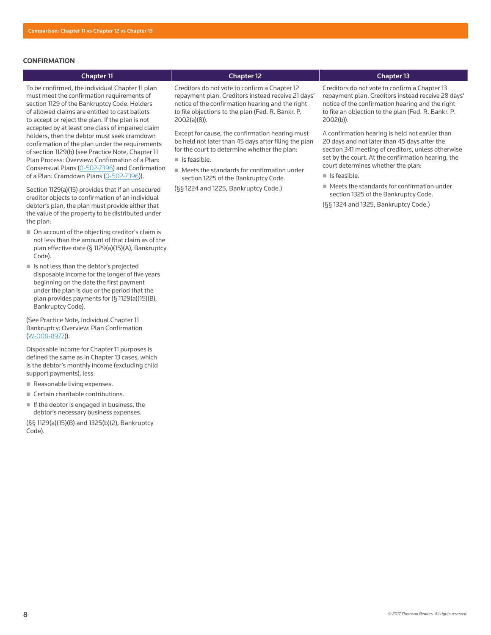### **CONFIRMATION**

## Chapter 11 Chapter 12 Chapter 13

To be confirmed, the individual Chapter 11 plan must meet the confirmation requirements of section 1129 of the Bankruptcy Code. Holders of allowed claims are entitled to cast ballots to accept or reject the plan. If the plan is not accepted by at least one class of impaired claim holders, then the debtor must seek cramdown confirmation of the plan under the requirements of section 1129(b) (see Practice Note, Chapter 11 Plan Process: Overview: Confirmation of a Plan: Consensual Plans (0-502-7396) and Confirmation of a Plan: Cramdown Plans (0-502-7396)).

Section 1129(a)(15) provides that if an unsecured creditor objects to confirmation of an individual debtor's plan, the plan must provide either that the value of the property to be distributed under the plan:

- On account of the objecting creditor's claim is not less than the amount of that claim as of the plan effective date (§ 1129(a)(15)(A), Bankruptcy Code).
- Is not less than the debtor's projected disposable income for the longer of five years beginning on the date the first payment under the plan is due or the period that the plan provides payments for (§ 1129(a)(15)(B), Bankruptcy Code).

(See Practice Note, Individual Chapter 11 Bankruptcy: Overview: Plan Confirmation (W-008-8977)).

Disposable income for Chapter 11 purposes is defined the same as in Chapter 13 cases, which is the debtor's monthly income (excluding child support payments), less:

- Reasonable living expenses.
- Certain charitable contributions.
- $\blacksquare$  If the debtor is engaged in business, the debtor's necessary business expenses.

(§§ 1129(a)(15)(B) and 1325(b)(2), Bankruptcy Code).

Creditors do not vote to confirm a Chapter 12 repayment plan. Creditors instead receive 21 days' notice of the confirmation hearing and the right to file objections to the plan (Fed. R. Bankr. P. 2002(a)(8)).

Except for cause, the confirmation hearing must be held not later than 45 days after filing the plan for the court to determine whether the plan:

- $\blacksquare$  Is feasible.
- Meets the standards for confirmation under section 1225 of the Bankruptcy Code.

(§§ 1224 and 1225, Bankruptcy Code.)

Creditors do not vote to confirm a Chapter 13 repayment plan. Creditors instead receive 28 days' notice of the confirmation hearing and the right to file an objection to the plan (Fed. R. Bankr. P. 2002(b)).

A confirmation hearing is held not earlier than 20 days and not later than 45 days after the section 341 meeting of creditors, unless otherwise set by the court. At the confirmation hearing, the court determines whether the plan:

- $\blacksquare$  Is feasible.
- $\blacksquare$  Meets the standards for confirmation under section 1325 of the Bankruptcy Code.
- (§§ 1324 and 1325, Bankruptcy Code.)